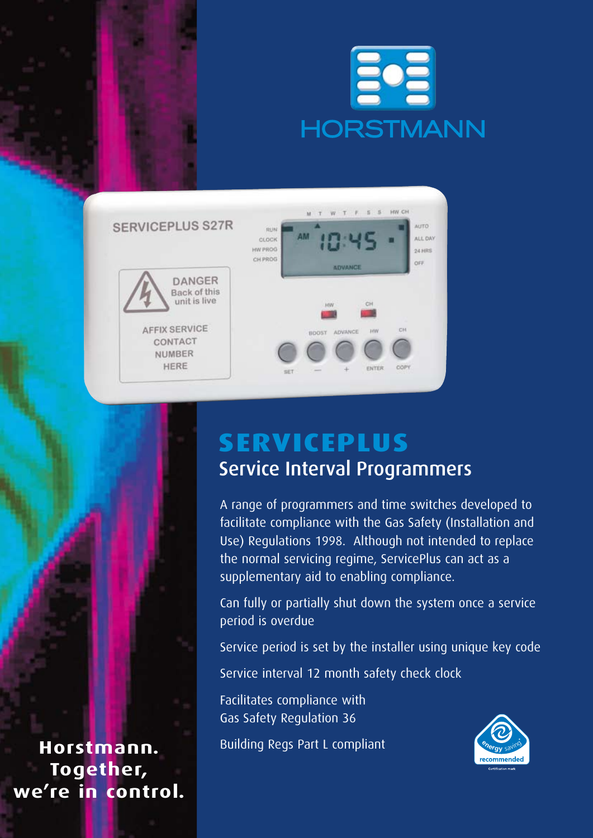



# **ServicePlus** Service Interval Programmers

A range of programmers and time switches developed to facilitate compliance with the Gas Safety (Installation and Use) Regulations 1998. Although not intended to replace the normal servicing regime, ServicePlus can act as a supplementary aid to enabling compliance.

Can fully or partially shut down the system once a service period is overdue

Service period is set by the installer using unique key code

Service interval 12 month safety check clock

Facilitates compliance with Gas Safety Regulation 36

Building Regs Part L compliant



**Horstmann. Together, we're in control.**